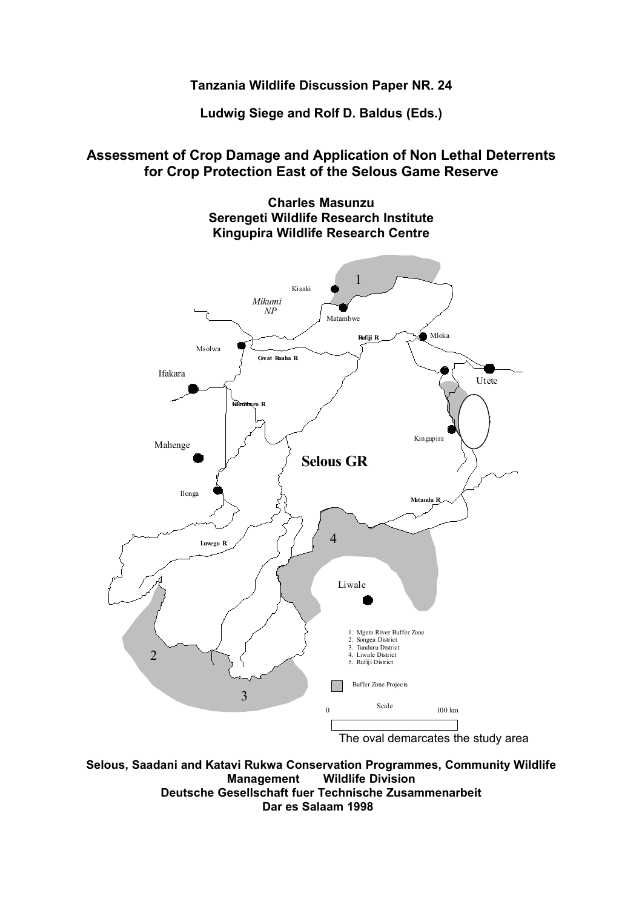# **Tanzania Wildlife Discussion Paper NR. 24**

**Ludwig Siege and Rolf D. Baldus (Eds.)**

# **Assessment of Crop Damage and Application of Non Lethal Deterrents for Crop Protection East of the Selous Game Reserve**



**Selous, Saadani and Katavi Rukwa Conservation Programmes, Community Wildlife Management Wildlife Division Deutsche Gesellschaft fuer Technische Zusammenarbeit Dar es Salaam 1998**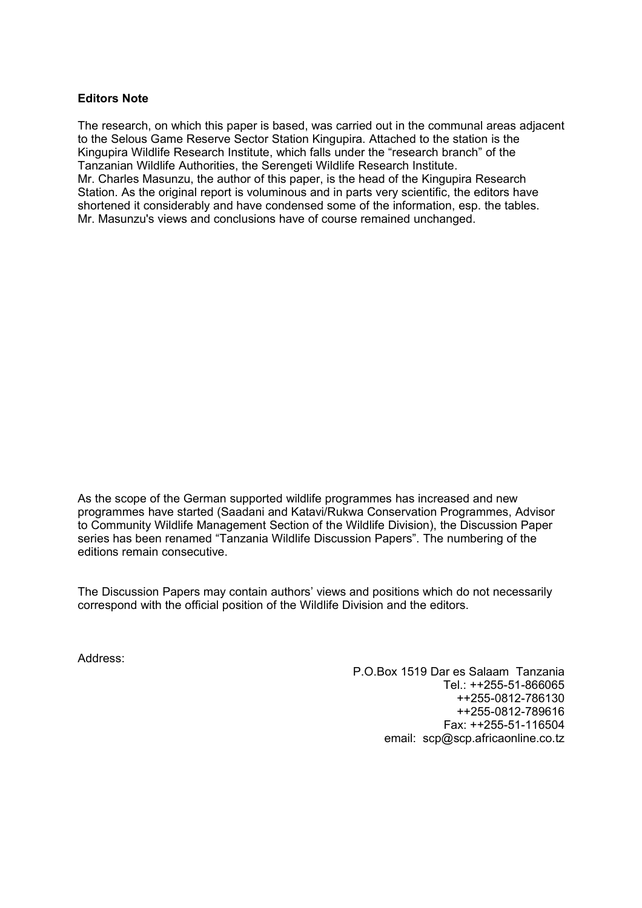# **Editors Note**

The research, on which this paper is based, was carried out in the communal areas adjacent to the Selous Game Reserve Sector Station Kingupira. Attached to the station is the Kingupira Wildlife Research Institute, which falls under the "research branch" of the Tanzanian Wildlife Authorities, the Serengeti Wildlife Research Institute. Mr. Charles Masunzu, the author of this paper, is the head of the Kingupira Research Station. As the original report is voluminous and in parts very scientific, the editors have shortened it considerably and have condensed some of the information, esp. the tables. Mr. Masunzu's views and conclusions have of course remained unchanged.

As the scope of the German supported wildlife programmes has increased and new programmes have started (Saadani and Katavi/Rukwa Conservation Programmes, Advisor to Community Wildlife Management Section of the Wildlife Division), the Discussion Paper series has been renamed "Tanzania Wildlife Discussion Papers". The numbering of the editions remain consecutive.

The Discussion Papers may contain authors' views and positions which do not necessarily correspond with the official position of the Wildlife Division and the editors.

Address:

P.O.Box 1519 Dar es Salaam Tanzania Tel.: ++255-51-866065 ++255-0812-786130 ++255-0812-789616 Fax: ++255-51-116504 email: scp@scp.africaonline.co.tz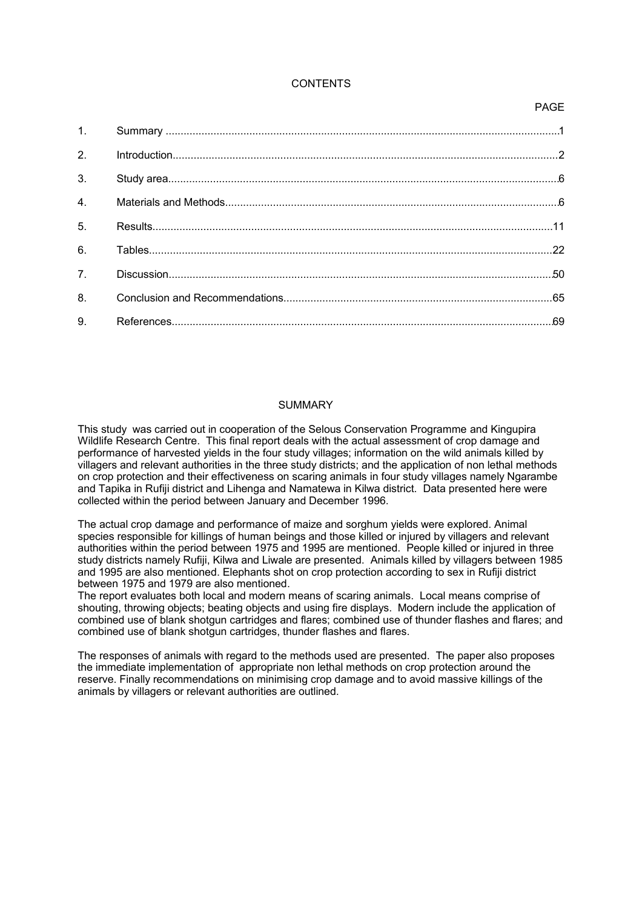# **CONTENTS**

# 1. Summary ....................................................................................................................................1 2. Introduction..................................................................................................................................2 3. Study area...................................................................................................................................6 4. Materials and Methods................................................................................................................6 5. Results......................................................................................................................................11 6. Tables........................................................................................................................................22 7. Discussion.................................................................................................................................50 8. Conclusion and Recommendations..........................................................................................65 9. References................................................................................................................................69

# SUMMARY

This study was carried out in cooperation of the Selous Conservation Programme and Kingupira Wildlife Research Centre. This final report deals with the actual assessment of crop damage and performance of harvested yields in the four study villages; information on the wild animals killed by villagers and relevant authorities in the three study districts; and the application of non lethal methods on crop protection and their effectiveness on scaring animals in four study villages namely Ngarambe and Tapika in Rufiji district and Lihenga and Namatewa in Kilwa district. Data presented here were collected within the period between January and December 1996.

The actual crop damage and performance of maize and sorghum yields were explored. Animal species responsible for killings of human beings and those killed or injured by villagers and relevant authorities within the period between 1975 and 1995 are mentioned. People killed or injured in three study districts namely Rufiji, Kilwa and Liwale are presented. Animals killed by villagers between 1985 and 1995 are also mentioned. Elephants shot on crop protection according to sex in Rufiji district between 1975 and 1979 are also mentioned.

The report evaluates both local and modern means of scaring animals. Local means comprise of shouting, throwing objects; beating objects and using fire displays. Modern include the application of combined use of blank shotgun cartridges and flares; combined use of thunder flashes and flares; and combined use of blank shotgun cartridges, thunder flashes and flares.

The responses of animals with regard to the methods used are presented. The paper also proposes the immediate implementation of appropriate non lethal methods on crop protection around the reserve. Finally recommendations on minimising crop damage and to avoid massive killings of the animals by villagers or relevant authorities are outlined.

# PAGE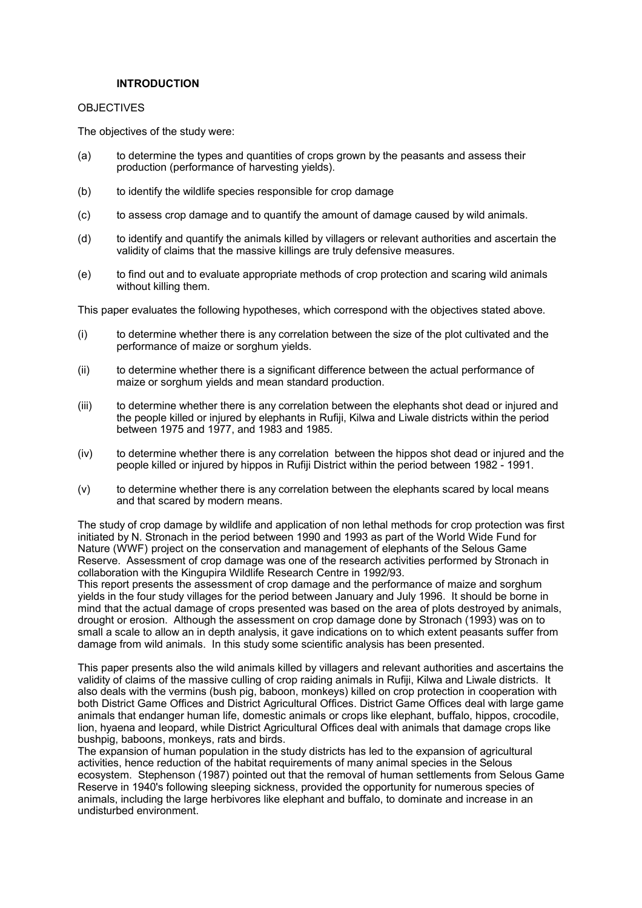# **INTRODUCTION**

## **OBJECTIVES**

The objectives of the study were:

- (a) to determine the types and quantities of crops grown by the peasants and assess their production (performance of harvesting yields).
- (b) to identify the wildlife species responsible for crop damage
- (c) to assess crop damage and to quantify the amount of damage caused by wild animals.
- (d) to identify and quantify the animals killed by villagers or relevant authorities and ascertain the validity of claims that the massive killings are truly defensive measures.
- (e) to find out and to evaluate appropriate methods of crop protection and scaring wild animals without killing them.

This paper evaluates the following hypotheses, which correspond with the objectives stated above.

- (i) to determine whether there is any correlation between the size of the plot cultivated and the performance of maize or sorghum yields.
- (ii) to determine whether there is a significant difference between the actual performance of maize or sorghum yields and mean standard production.
- (iii) to determine whether there is any correlation between the elephants shot dead or injured and the people killed or injured by elephants in Rufiji, Kilwa and Liwale districts within the period between 1975 and 1977, and 1983 and 1985.
- (iv) to determine whether there is any correlation between the hippos shot dead or injured and the people killed or injured by hippos in Rufiji District within the period between 1982 - 1991.
- (v) to determine whether there is any correlation between the elephants scared by local means and that scared by modern means.

The study of crop damage by wildlife and application of non lethal methods for crop protection was first initiated by N. Stronach in the period between 1990 and 1993 as part of the World Wide Fund for Nature (WWF) project on the conservation and management of elephants of the Selous Game Reserve. Assessment of crop damage was one of the research activities performed by Stronach in collaboration with the Kingupira Wildlife Research Centre in 1992/93.

This report presents the assessment of crop damage and the performance of maize and sorghum yields in the four study villages for the period between January and July 1996. It should be borne in mind that the actual damage of crops presented was based on the area of plots destroyed by animals, drought or erosion. Although the assessment on crop damage done by Stronach (1993) was on to small a scale to allow an in depth analysis, it gave indications on to which extent peasants suffer from damage from wild animals. In this study some scientific analysis has been presented.

This paper presents also the wild animals killed by villagers and relevant authorities and ascertains the validity of claims of the massive culling of crop raiding animals in Rufiji, Kilwa and Liwale districts. It also deals with the vermins (bush pig, baboon, monkeys) killed on crop protection in cooperation with both District Game Offices and District Agricultural Offices. District Game Offices deal with large game animals that endanger human life, domestic animals or crops like elephant, buffalo, hippos, crocodile, lion, hyaena and leopard, while District Agricultural Offices deal with animals that damage crops like bushpig, baboons, monkeys, rats and birds.

The expansion of human population in the study districts has led to the expansion of agricultural activities, hence reduction of the habitat requirements of many animal species in the Selous ecosystem. Stephenson (1987) pointed out that the removal of human settlements from Selous Game Reserve in 1940's following sleeping sickness, provided the opportunity for numerous species of animals, including the large herbivores like elephant and buffalo, to dominate and increase in an undisturbed environment.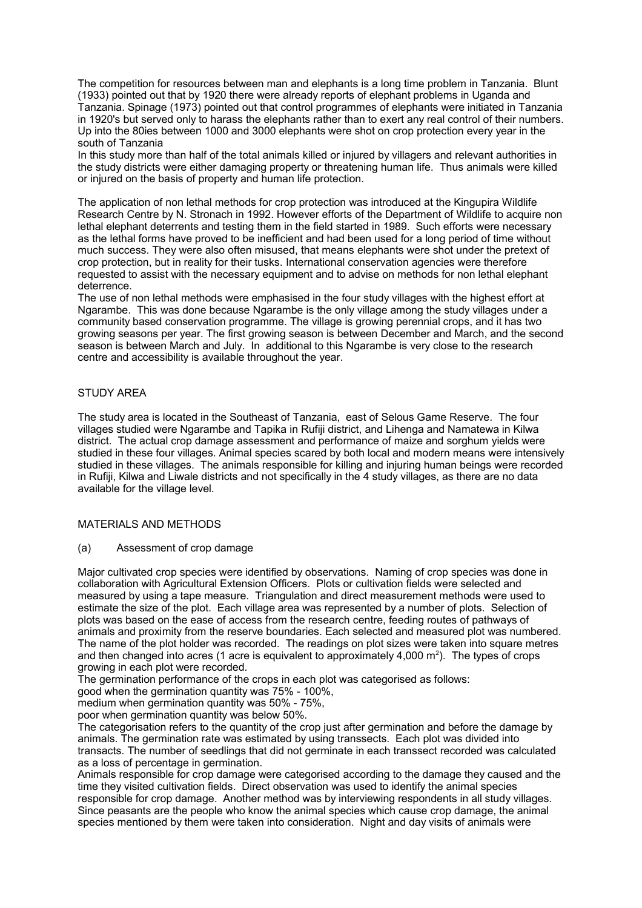The competition for resources between man and elephants is a long time problem in Tanzania. Blunt (1933) pointed out that by 1920 there were already reports of elephant problems in Uganda and Tanzania. Spinage (1973) pointed out that control programmes of elephants were initiated in Tanzania in 1920's but served only to harass the elephants rather than to exert any real control of their numbers. Up into the 80ies between 1000 and 3000 elephants were shot on crop protection every year in the south of Tanzania

In this study more than half of the total animals killed or injured by villagers and relevant authorities in the study districts were either damaging property or threatening human life. Thus animals were killed or injured on the basis of property and human life protection.

The application of non lethal methods for crop protection was introduced at the Kingupira Wildlife Research Centre by N. Stronach in 1992. However efforts of the Department of Wildlife to acquire non lethal elephant deterrents and testing them in the field started in 1989. Such efforts were necessary as the lethal forms have proved to be inefficient and had been used for a long period of time without much success. They were also often misused, that means elephants were shot under the pretext of crop protection, but in reality for their tusks. International conservation agencies were therefore requested to assist with the necessary equipment and to advise on methods for non lethal elephant deterrence.

The use of non lethal methods were emphasised in the four study villages with the highest effort at Ngarambe. This was done because Ngarambe is the only village among the study villages under a community based conservation programme. The village is growing perennial crops, and it has two growing seasons per year. The first growing season is between December and March, and the second season is between March and July. In additional to this Ngarambe is very close to the research centre and accessibility is available throughout the year.

# STUDY AREA

The study area is located in the Southeast of Tanzania, east of Selous Game Reserve. The four villages studied were Ngarambe and Tapika in Rufiji district, and Lihenga and Namatewa in Kilwa district. The actual crop damage assessment and performance of maize and sorghum yields were studied in these four villages. Animal species scared by both local and modern means were intensively studied in these villages. The animals responsible for killing and injuring human beings were recorded in Rufiji, Kilwa and Liwale districts and not specifically in the 4 study villages, as there are no data available for the village level.

#### MATERIALS AND METHODS

(a) Assessment of crop damage

Major cultivated crop species were identified by observations. Naming of crop species was done in collaboration with Agricultural Extension Officers. Plots or cultivation fields were selected and measured by using a tape measure. Triangulation and direct measurement methods were used to estimate the size of the plot. Each village area was represented by a number of plots. Selection of plots was based on the ease of access from the research centre, feeding routes of pathways of animals and proximity from the reserve boundaries. Each selected and measured plot was numbered. The name of the plot holder was recorded. The readings on plot sizes were taken into square metres and then changed into acres (1 acre is equivalent to approximately 4,000 m<sup>2</sup>). The types of crops growing in each plot were recorded.

The germination performance of the crops in each plot was categorised as follows:

good when the germination quantity was 75% - 100%,

medium when germination quantity was 50% - 75%,

poor when germination quantity was below 50%.

The categorisation refers to the quantity of the crop just after germination and before the damage by animals. The germination rate was estimated by using transsects. Each plot was divided into transacts. The number of seedlings that did not germinate in each transsect recorded was calculated as a loss of percentage in germination.

Animals responsible for crop damage were categorised according to the damage they caused and the time they visited cultivation fields. Direct observation was used to identify the animal species responsible for crop damage. Another method was by interviewing respondents in all study villages. Since peasants are the people who know the animal species which cause crop damage, the animal species mentioned by them were taken into consideration. Night and day visits of animals were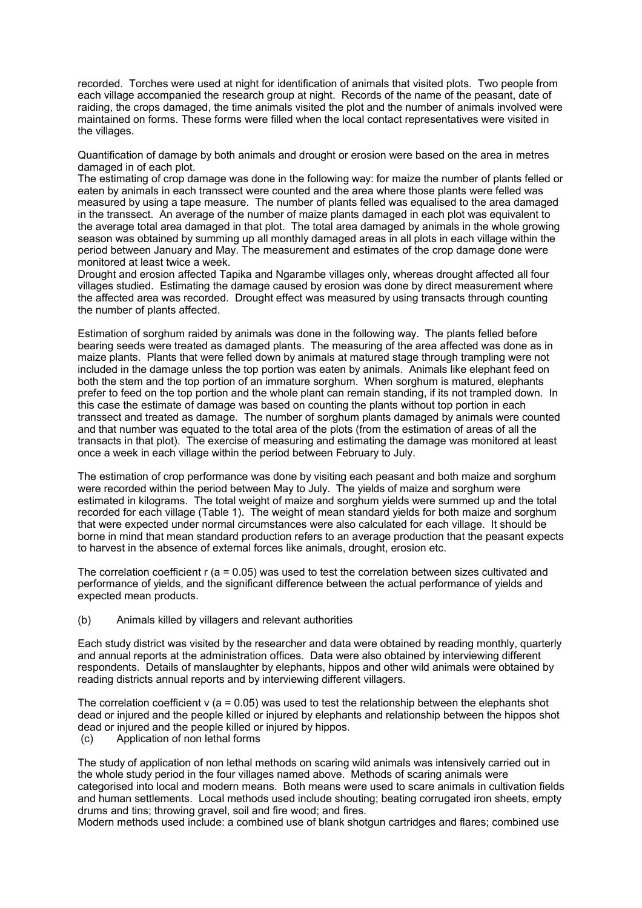recorded. Torches were used at night for identification of animals that visited plots. Two people from each village accompanied the research group at night. Records of the name of the peasant, date of raiding, the crops damaged, the time animals visited the plot and the number of animals involved were maintained on forms. These forms were filled when the local contact representatives were visited in the villages.

Quantification of damage by both animals and drought or erosion were based on the area in metres damaged in of each plot.

The estimating of crop damage was done in the following way: for maize the number of plants felled or eaten by animals in each transsect were counted and the area where those plants were felled was measured by using a tape measure. The number of plants felled was equalised to the area damaged in the transsect. An average of the number of maize plants damaged in each plot was equivalent to the average total area damaged in that plot. The total area damaged by animals in the whole growing season was obtained by summing up all monthly damaged areas in all plots in each village within the period between January and May. The measurement and estimates of the crop damage done were monitored at least twice a week.

Drought and erosion affected Tapika and Ngarambe villages only, whereas drought affected all four villages studied. Estimating the damage caused by erosion was done by direct measurement where the affected area was recorded. Drought effect was measured by using transacts through counting the number of plants affected.

Estimation of sorghum raided by animals was done in the following way. The plants felled before bearing seeds were treated as damaged plants. The measuring of the area affected was done as in maize plants. Plants that were felled down by animals at matured stage through trampling were not included in the damage unless the top portion was eaten by animals. Animals like elephant feed on both the stem and the top portion of an immature sorghum. When sorghum is matured, elephants prefer to feed on the top portion and the whole plant can remain standing, if its not trampled down. In this case the estimate of damage was based on counting the plants without top portion in each transsect and treated as damage. The number of sorghum plants damaged by animals were counted and that number was equated to the total area of the plots (from the estimation of areas of all the transacts in that plot). The exercise of measuring and estimating the damage was monitored at least once a week in each village within the period between February to July.

The estimation of crop performance was done by visiting each peasant and both maize and sorghum were recorded within the period between May to July. The yields of maize and sorghum were estimated in kilograms. The total weight of maize and sorghum yields were summed up and the total recorded for each village (Table 1). The weight of mean standard yields for both maize and sorghum that were expected under normal circumstances were also calculated for each village. It should be borne in mind that mean standard production refers to an average production that the peasant expects to harvest in the absence of external forces like animals, drought, erosion etc.

The correlation coefficient  $r$  (a = 0.05) was used to test the correlation between sizes cultivated and performance of yields, and the significant difference between the actual performance of yields and expected mean products.

(b) Animals killed by villagers and relevant authorities

Each study district was visited by the researcher and data were obtained by reading monthly, quarterly and annual reports at the administration offices. Data were also obtained by interviewing different respondents. Details of manslaughter by elephants, hippos and other wild animals were obtained by reading districts annual reports and by interviewing different villagers.

The correlation coefficient v ( $a = 0.05$ ) was used to test the relationship between the elephants shot dead or injured and the people killed or injured by elephants and relationship between the hippos shot dead or injured and the people killed or injured by hippos.

(c) Application of non lethal forms

The study of application of non lethal methods on scaring wild animals was intensively carried out in the whole study period in the four villages named above. Methods of scaring animals were categorised into local and modern means. Both means were used to scare animals in cultivation fields and human settlements. Local methods used include shouting; beating corrugated iron sheets, empty drums and tins; throwing gravel, soil and fire wood; and fires.

Modern methods used include: a combined use of blank shotgun cartridges and flares; combined use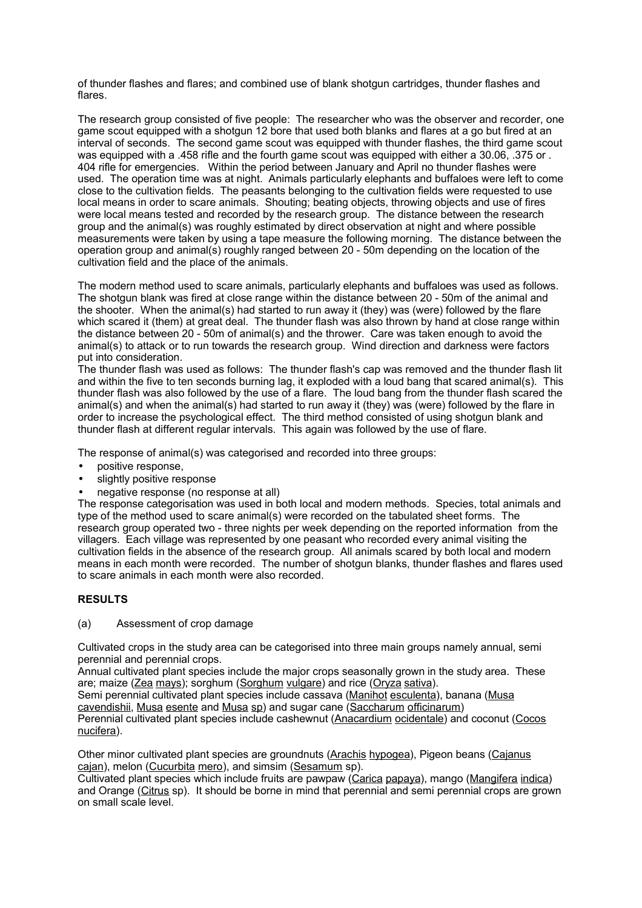of thunder flashes and flares; and combined use of blank shotgun cartridges, thunder flashes and flares.

The research group consisted of five people: The researcher who was the observer and recorder, one game scout equipped with a shotgun 12 bore that used both blanks and flares at a go but fired at an interval of seconds. The second game scout was equipped with thunder flashes, the third game scout was equipped with a .458 rifle and the fourth game scout was equipped with either a 30.06, .375 or . 404 rifle for emergencies. Within the period between January and April no thunder flashes were used. The operation time was at night. Animals particularly elephants and buffaloes were left to come close to the cultivation fields. The peasants belonging to the cultivation fields were requested to use local means in order to scare animals. Shouting; beating objects, throwing objects and use of fires were local means tested and recorded by the research group. The distance between the research group and the animal(s) was roughly estimated by direct observation at night and where possible measurements were taken by using a tape measure the following morning. The distance between the operation group and animal(s) roughly ranged between 20 - 50m depending on the location of the cultivation field and the place of the animals.

The modern method used to scare animals, particularly elephants and buffaloes was used as follows. The shotgun blank was fired at close range within the distance between 20 - 50m of the animal and the shooter. When the animal(s) had started to run away it (they) was (were) followed by the flare which scared it (them) at great deal. The thunder flash was also thrown by hand at close range within the distance between 20 - 50m of animal(s) and the thrower. Care was taken enough to avoid the animal(s) to attack or to run towards the research group. Wind direction and darkness were factors put into consideration.

The thunder flash was used as follows: The thunder flash's cap was removed and the thunder flash lit and within the five to ten seconds burning lag, it exploded with a loud bang that scared animal(s). This thunder flash was also followed by the use of a flare. The loud bang from the thunder flash scared the animal(s) and when the animal(s) had started to run away it (they) was (were) followed by the flare in order to increase the psychological effect. The third method consisted of using shotgun blank and thunder flash at different regular intervals. This again was followed by the use of flare.

The response of animal(s) was categorised and recorded into three groups:

- positive response,
- slightly positive response
- negative response (no response at all)

The response categorisation was used in both local and modern methods. Species, total animals and type of the method used to scare animal(s) were recorded on the tabulated sheet forms. The research group operated two - three nights per week depending on the reported information from the villagers. Each village was represented by one peasant who recorded every animal visiting the cultivation fields in the absence of the research group. All animals scared by both local and modern means in each month were recorded. The number of shotgun blanks, thunder flashes and flares used to scare animals in each month were also recorded.

# **RESULTS**

#### (a) Assessment of crop damage

Cultivated crops in the study area can be categorised into three main groups namely annual, semi perennial and perennial crops.

Annual cultivated plant species include the major crops seasonally grown in the study area. These are; maize (Zea mays); sorghum (Sorghum vulgare) and rice (Oryza sativa).

Semi perennial cultivated plant species include cassava (Manihot esculenta), banana (Musa cavendishii, Musa esente and Musa sp) and sugar cane (Saccharum officinarum) Perennial cultivated plant species include cashewnut (Anacardium ocidentale) and coconut (Cocos

nucifera).

Other minor cultivated plant species are groundnuts (Arachis hypogea), Pigeon beans (Cajanus cajan), melon (Cucurbita mero), and simsim (Sesamum sp).

Cultivated plant species which include fruits are pawpaw (Carica papaya), mango (Mangifera indica) and Orange (Citrus sp). It should be borne in mind that perennial and semi perennial crops are grown on small scale level.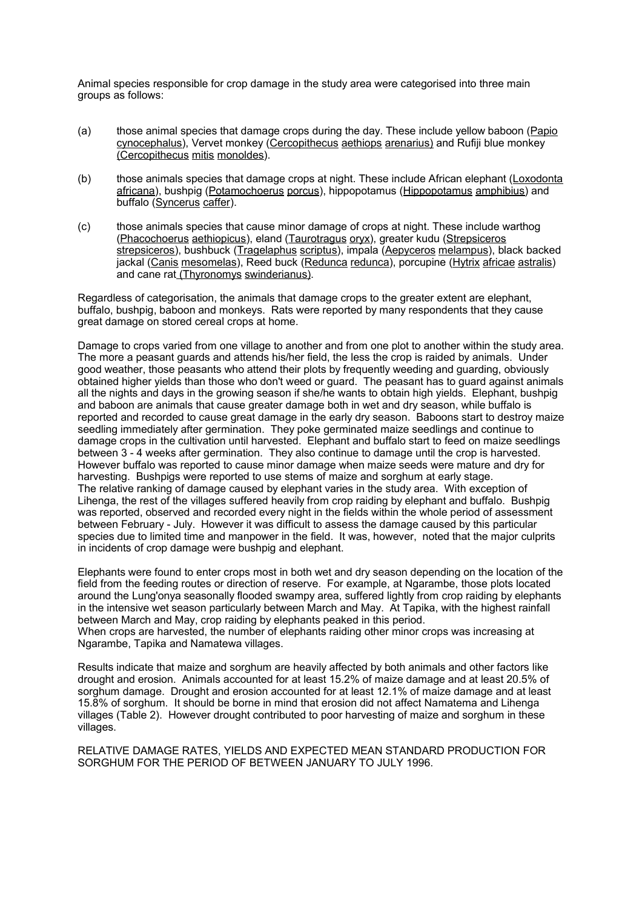Animal species responsible for crop damage in the study area were categorised into three main groups as follows:

- (a) those animal species that damage crops during the day. These include yellow baboon (Papio cynocephalus), Vervet monkey (Cercopithecus aethiops arenarius) and Rufiji blue monkey (Cercopithecus mitis monoldes).
- (b) those animals species that damage crops at night. These include African elephant (Loxodonta africana), bushpig (Potamochoerus porcus), hippopotamus (Hippopotamus amphibius) and buffalo (Syncerus caffer).
- (c) those animals species that cause minor damage of crops at night. These include warthog (Phacochoerus aethiopicus), eland (Taurotragus oryx), greater kudu (Strepsiceros strepsiceros), bushbuck (Tragelaphus scriptus), impala (Aepyceros melampus), black backed jackal (Canis mesomelas), Reed buck (Redunca redunca), porcupine (Hytrix africae astralis) and cane rat (Thyronomys swinderianus).

Regardless of categorisation, the animals that damage crops to the greater extent are elephant, buffalo, bushpig, baboon and monkeys. Rats were reported by many respondents that they cause great damage on stored cereal crops at home.

Damage to crops varied from one village to another and from one plot to another within the study area. The more a peasant guards and attends his/her field, the less the crop is raided by animals. Under good weather, those peasants who attend their plots by frequently weeding and guarding, obviously obtained higher yields than those who don't weed or guard. The peasant has to guard against animals all the nights and days in the growing season if she/he wants to obtain high yields. Elephant, bushpig and baboon are animals that cause greater damage both in wet and dry season, while buffalo is reported and recorded to cause great damage in the early dry season. Baboons start to destroy maize seedling immediately after germination. They poke germinated maize seedlings and continue to damage crops in the cultivation until harvested. Elephant and buffalo start to feed on maize seedlings between 3 - 4 weeks after germination. They also continue to damage until the crop is harvested. However buffalo was reported to cause minor damage when maize seeds were mature and dry for harvesting. Bushpigs were reported to use stems of maize and sorghum at early stage. The relative ranking of damage caused by elephant varies in the study area. With exception of Lihenga, the rest of the villages suffered heavily from crop raiding by elephant and buffalo. Bushpig was reported, observed and recorded every night in the fields within the whole period of assessment between February - July. However it was difficult to assess the damage caused by this particular species due to limited time and manpower in the field. It was, however, noted that the major culprits in incidents of crop damage were bushpig and elephant.

Elephants were found to enter crops most in both wet and dry season depending on the location of the field from the feeding routes or direction of reserve. For example, at Ngarambe, those plots located around the Lung'onya seasonally flooded swampy area, suffered lightly from crop raiding by elephants in the intensive wet season particularly between March and May. At Tapika, with the highest rainfall between March and May, crop raiding by elephants peaked in this period.

When crops are harvested, the number of elephants raiding other minor crops was increasing at Ngarambe, Tapika and Namatewa villages.

Results indicate that maize and sorghum are heavily affected by both animals and other factors like drought and erosion. Animals accounted for at least 15.2% of maize damage and at least 20.5% of sorghum damage. Drought and erosion accounted for at least 12.1% of maize damage and at least 15.8% of sorghum. It should be borne in mind that erosion did not affect Namatema and Lihenga villages (Table 2). However drought contributed to poor harvesting of maize and sorghum in these villages.

RELATIVE DAMAGE RATES, YIELDS AND EXPECTED MEAN STANDARD PRODUCTION FOR SORGHUM FOR THE PERIOD OF BETWEEN JANUARY TO JULY 1996.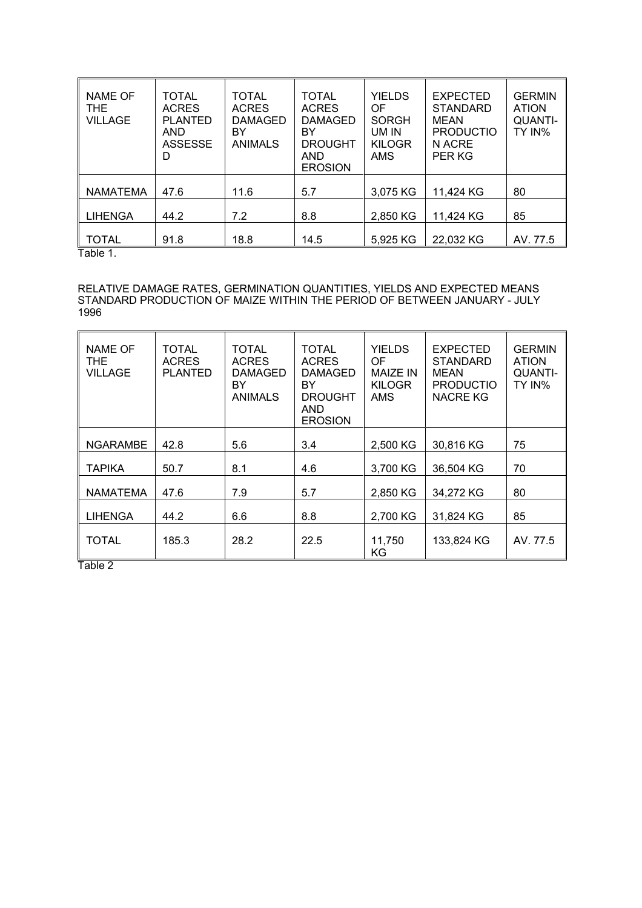| <b>NAME OF</b><br>THE.<br>VILLAGE | <b>TOTAL</b><br><b>ACRES</b><br><b>PLANTED</b><br><b>AND</b><br><b>ASSESSE</b><br>D | <b>TOTAL</b><br><b>ACRES</b><br><b>DAMAGED</b><br>BY<br><b>ANIMALS</b> | TOTAL<br><b>ACRES</b><br><b>DAMAGED</b><br>BY<br><b>DROUGHT</b><br>AND<br><b>EROSION</b> | <b>YIELDS</b><br>OF<br><b>SORGH</b><br>UM IN<br><b>KILOGR</b><br>AMS | <b>EXPECTED</b><br><b>STANDARD</b><br><b>MEAN</b><br><b>PRODUCTIO</b><br>N ACRE<br>PER KG | <b>GERMIN</b><br><b>ATION</b><br><b>QUANTI-</b><br>TY IN% |
|-----------------------------------|-------------------------------------------------------------------------------------|------------------------------------------------------------------------|------------------------------------------------------------------------------------------|----------------------------------------------------------------------|-------------------------------------------------------------------------------------------|-----------------------------------------------------------|
| <b>NAMATEMA</b>                   | 47.6                                                                                | 11.6                                                                   | 5.7                                                                                      | 3,075 KG                                                             | 11,424 KG                                                                                 | 80                                                        |
| <b>LIHENGA</b>                    | 44.2                                                                                | 7.2                                                                    | 8.8                                                                                      | 2,850 KG                                                             | 11,424 KG                                                                                 | 85                                                        |
| TOTAL<br>— <i>.</i>               | 91.8                                                                                | 18.8                                                                   | 14.5                                                                                     | 5,925 KG                                                             | 22,032 KG                                                                                 | AV. 77.5                                                  |

Table 1.

#### RELATIVE DAMAGE RATES, GERMINATION QUANTITIES, YIELDS AND EXPECTED MEANS STANDARD PRODUCTION OF MAIZE WITHIN THE PERIOD OF BETWEEN JANUARY - JULY 1996

| <b>NAME OF</b><br>THE.<br><b>VILLAGE</b> | <b>TOTAL</b><br><b>ACRES</b><br><b>PLANTED</b> | <b>TOTAL</b><br><b>ACRES</b><br><b>DAMAGED</b><br>BY<br><b>ANIMALS</b> | TOTAL<br><b>ACRES</b><br><b>DAMAGED</b><br>BY<br><b>DROUGHT</b><br>AND<br><b>EROSION</b> | <b>YIELDS</b><br>0F<br><b>MAIZE IN</b><br><b>KILOGR</b><br>AMS | <b>EXPECTED</b><br><b>STANDARD</b><br><b>MEAN</b><br><b>PRODUCTIO</b><br><b>NACRE KG</b> | <b>GERMIN</b><br><b>ATION</b><br><b>QUANTI-</b><br>TY IN% |
|------------------------------------------|------------------------------------------------|------------------------------------------------------------------------|------------------------------------------------------------------------------------------|----------------------------------------------------------------|------------------------------------------------------------------------------------------|-----------------------------------------------------------|
| <b>NGARAMBE</b>                          | 42.8                                           | 5.6                                                                    | 3.4                                                                                      | 2,500 KG                                                       | 30,816 KG                                                                                | 75                                                        |
| <b>TAPIKA</b>                            | 50.7                                           | 8.1                                                                    | 4.6                                                                                      | 3,700 KG                                                       | 36,504 KG                                                                                | 70                                                        |
| <b>NAMATEMA</b>                          | 47.6                                           | 7.9                                                                    | 5.7                                                                                      | 2,850 KG                                                       | 34,272 KG                                                                                | 80                                                        |
| <b>LIHENGA</b>                           | 44.2                                           | 6.6                                                                    | 8.8                                                                                      | 2,700 KG                                                       | 31,824 KG                                                                                | 85                                                        |
| TOTAL                                    | 185.3                                          | 28.2                                                                   | 22.5                                                                                     | 11,750<br>ΚG                                                   | 133,824 KG                                                                               | AV. 77.5                                                  |

Table 2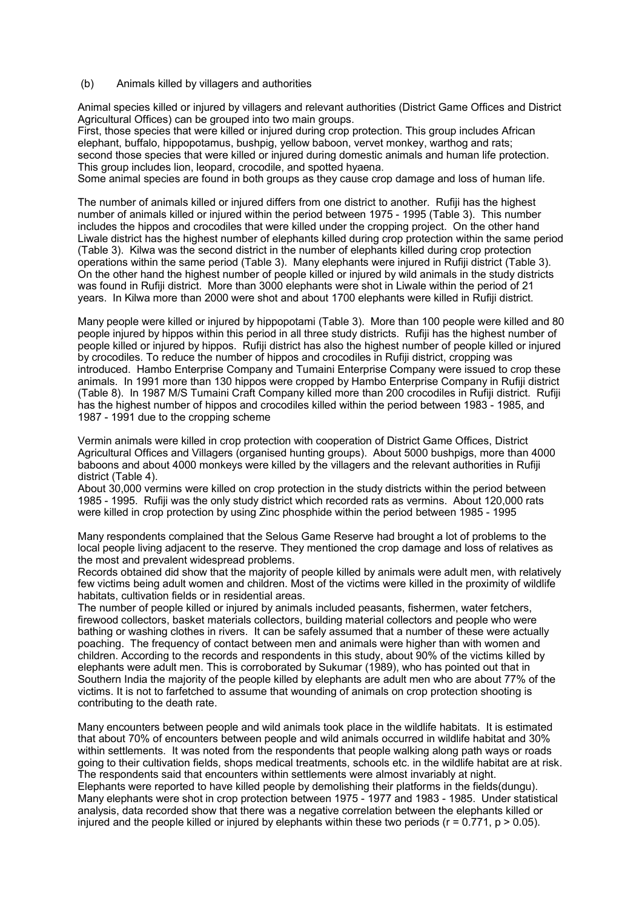(b) Animals killed by villagers and authorities

Animal species killed or injured by villagers and relevant authorities (District Game Offices and District Agricultural Offices) can be grouped into two main groups.

First, those species that were killed or injured during crop protection. This group includes African elephant, buffalo, hippopotamus, bushpig, yellow baboon, vervet monkey, warthog and rats; second those species that were killed or injured during domestic animals and human life protection. This group includes lion, leopard, crocodile, and spotted hyaena.

Some animal species are found in both groups as they cause crop damage and loss of human life.

The number of animals killed or injured differs from one district to another. Rufiji has the highest number of animals killed or injured within the period between 1975 - 1995 (Table 3). This number includes the hippos and crocodiles that were killed under the cropping project. On the other hand Liwale district has the highest number of elephants killed during crop protection within the same period (Table 3). Kilwa was the second district in the number of elephants killed during crop protection operations within the same period (Table 3). Many elephants were injured in Rufiji district (Table 3). On the other hand the highest number of people killed or injured by wild animals in the study districts was found in Rufiji district. More than 3000 elephants were shot in Liwale within the period of 21 years. In Kilwa more than 2000 were shot and about 1700 elephants were killed in Rufiji district.

Many people were killed or injured by hippopotami (Table 3). More than 100 people were killed and 80 people injured by hippos within this period in all three study districts. Rufiji has the highest number of people killed or injured by hippos. Rufiji district has also the highest number of people killed or injured by crocodiles. To reduce the number of hippos and crocodiles in Rufiji district, cropping was introduced. Hambo Enterprise Company and Tumaini Enterprise Company were issued to crop these animals. In 1991 more than 130 hippos were cropped by Hambo Enterprise Company in Rufiji district (Table 8). In 1987 M/S Tumaini Craft Company killed more than 200 crocodiles in Rufiji district. Rufiji has the highest number of hippos and crocodiles killed within the period between 1983 - 1985, and 1987 - 1991 due to the cropping scheme

Vermin animals were killed in crop protection with cooperation of District Game Offices, District Agricultural Offices and Villagers (organised hunting groups). About 5000 bushpigs, more than 4000 baboons and about 4000 monkeys were killed by the villagers and the relevant authorities in Rufiji district (Table 4).

About 30,000 vermins were killed on crop protection in the study districts within the period between 1985 - 1995. Rufiji was the only study district which recorded rats as vermins. About 120,000 rats were killed in crop protection by using Zinc phosphide within the period between 1985 - 1995

Many respondents complained that the Selous Game Reserve had brought a lot of problems to the local people living adjacent to the reserve. They mentioned the crop damage and loss of relatives as the most and prevalent widespread problems.

Records obtained did show that the majority of people killed by animals were adult men, with relatively few victims being adult women and children. Most of the victims were killed in the proximity of wildlife habitats, cultivation fields or in residential areas.

The number of people killed or injured by animals included peasants, fishermen, water fetchers, firewood collectors, basket materials collectors, building material collectors and people who were bathing or washing clothes in rivers. It can be safely assumed that a number of these were actually poaching. The frequency of contact between men and animals were higher than with women and children. According to the records and respondents in this study, about 90% of the victims killed by elephants were adult men. This is corroborated by Sukumar (1989), who has pointed out that in Southern India the majority of the people killed by elephants are adult men who are about 77% of the victims. It is not to farfetched to assume that wounding of animals on crop protection shooting is contributing to the death rate.

Many encounters between people and wild animals took place in the wildlife habitats. It is estimated that about 70% of encounters between people and wild animals occurred in wildlife habitat and 30% within settlements. It was noted from the respondents that people walking along path ways or roads going to their cultivation fields, shops medical treatments, schools etc. in the wildlife habitat are at risk. The respondents said that encounters within settlements were almost invariably at night. Elephants were reported to have killed people by demolishing their platforms in the fields(dungu). Many elephants were shot in crop protection between 1975 - 1977 and 1983 - 1985. Under statistical analysis, data recorded show that there was a negative correlation between the elephants killed or injured and the people killed or injured by elephants within these two periods ( $r = 0.771$ ,  $p > 0.05$ ).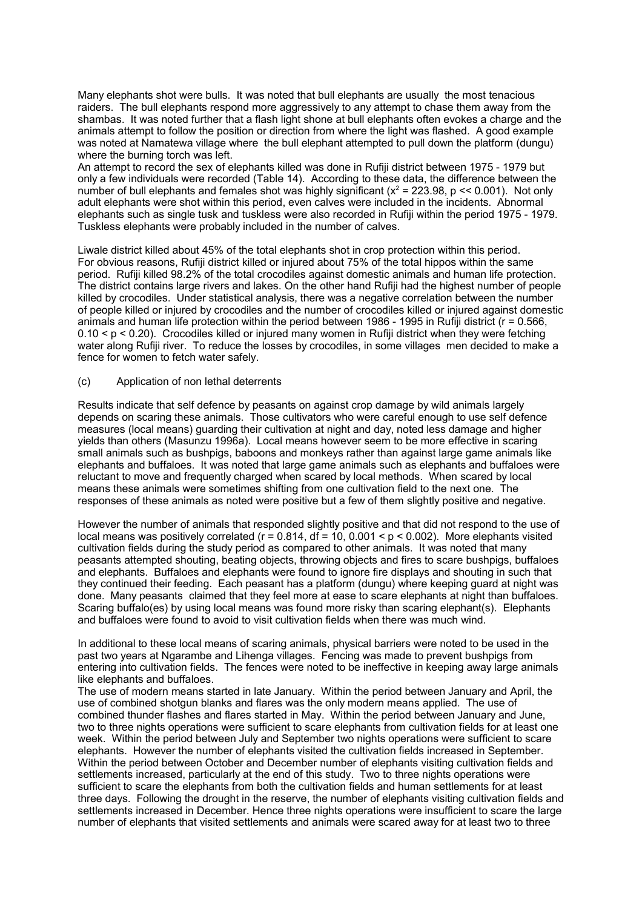Many elephants shot were bulls. It was noted that bull elephants are usually the most tenacious raiders. The bull elephants respond more aggressively to any attempt to chase them away from the shambas. It was noted further that a flash light shone at bull elephants often evokes a charge and the animals attempt to follow the position or direction from where the light was flashed. A good example was noted at Namatewa village where the bull elephant attempted to pull down the platform (dungu) where the burning torch was left.

An attempt to record the sex of elephants killed was done in Rufiji district between 1975 - 1979 but only a few individuals were recorded (Table 14). According to these data, the difference between the number of bull elephants and females shot was highly significant  $(x^2 = 223.98, p \ll 0.001)$ . Not only adult elephants were shot within this period, even calves were included in the incidents. Abnormal elephants such as single tusk and tuskless were also recorded in Rufiji within the period 1975 - 1979. Tuskless elephants were probably included in the number of calves.

Liwale district killed about 45% of the total elephants shot in crop protection within this period. For obvious reasons, Rufiji district killed or injured about 75% of the total hippos within the same period. Rufiji killed 98.2% of the total crocodiles against domestic animals and human life protection. The district contains large rivers and lakes. On the other hand Rufiji had the highest number of people killed by crocodiles. Under statistical analysis, there was a negative correlation between the number of people killed or injured by crocodiles and the number of crocodiles killed or injured against domestic animals and human life protection within the period between 1986 - 1995 in Rufiji district (r = 0.566, 0.10 < p < 0.20). Crocodiles killed or injured many women in Rufiji district when they were fetching water along Rufiji river. To reduce the losses by crocodiles, in some villages men decided to make a fence for women to fetch water safely.

#### (c) Application of non lethal deterrents

Results indicate that self defence by peasants on against crop damage by wild animals largely depends on scaring these animals. Those cultivators who were careful enough to use self defence measures (local means) guarding their cultivation at night and day, noted less damage and higher yields than others (Masunzu 1996a). Local means however seem to be more effective in scaring small animals such as bushpigs, baboons and monkeys rather than against large game animals like elephants and buffaloes. It was noted that large game animals such as elephants and buffaloes were reluctant to move and frequently charged when scared by local methods. When scared by local means these animals were sometimes shifting from one cultivation field to the next one. The responses of these animals as noted were positive but a few of them slightly positive and negative.

However the number of animals that responded slightly positive and that did not respond to the use of local means was positively correlated ( $r = 0.814$ ,  $df = 10$ ,  $0.001 < p < 0.002$ ). More elephants visited cultivation fields during the study period as compared to other animals. It was noted that many peasants attempted shouting, beating objects, throwing objects and fires to scare bushpigs, buffaloes and elephants. Buffaloes and elephants were found to ignore fire displays and shouting in such that they continued their feeding. Each peasant has a platform (dungu) where keeping guard at night was done. Many peasants claimed that they feel more at ease to scare elephants at night than buffaloes. Scaring buffalo(es) by using local means was found more risky than scaring elephant(s). Elephants and buffaloes were found to avoid to visit cultivation fields when there was much wind.

In additional to these local means of scaring animals, physical barriers were noted to be used in the past two years at Ngarambe and Lihenga villages. Fencing was made to prevent bushpigs from entering into cultivation fields. The fences were noted to be ineffective in keeping away large animals like elephants and buffaloes.

The use of modern means started in late January. Within the period between January and April, the use of combined shotgun blanks and flares was the only modern means applied. The use of combined thunder flashes and flares started in May. Within the period between January and June, two to three nights operations were sufficient to scare elephants from cultivation fields for at least one week. Within the period between July and September two nights operations were sufficient to scare elephants. However the number of elephants visited the cultivation fields increased in September. Within the period between October and December number of elephants visiting cultivation fields and settlements increased, particularly at the end of this study. Two to three nights operations were sufficient to scare the elephants from both the cultivation fields and human settlements for at least three days. Following the drought in the reserve, the number of elephants visiting cultivation fields and settlements increased in December. Hence three nights operations were insufficient to scare the large number of elephants that visited settlements and animals were scared away for at least two to three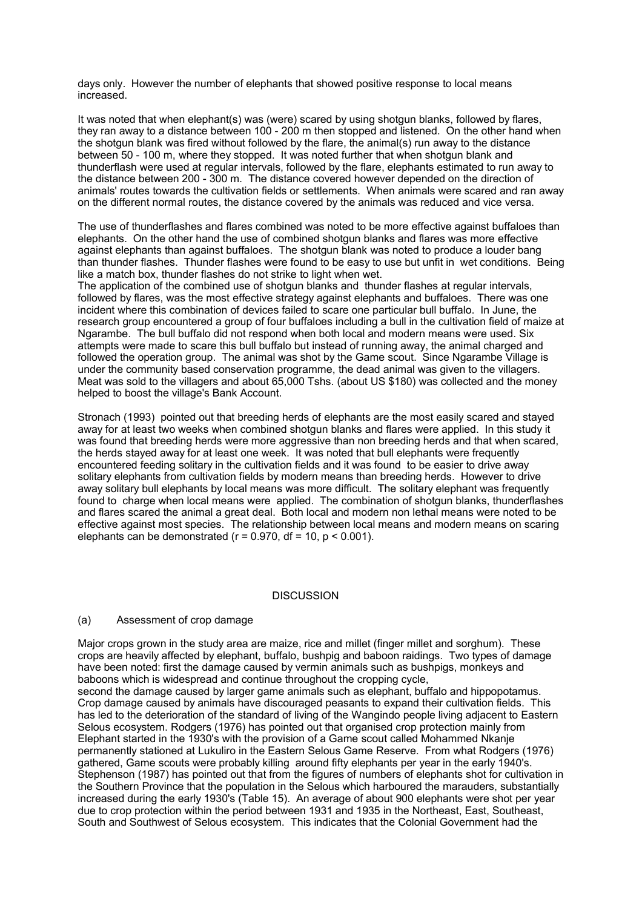days only. However the number of elephants that showed positive response to local means increased.

It was noted that when elephant(s) was (were) scared by using shotgun blanks, followed by flares, they ran away to a distance between 100 - 200 m then stopped and listened. On the other hand when the shotgun blank was fired without followed by the flare, the animal(s) run away to the distance between 50 - 100 m, where they stopped. It was noted further that when shotgun blank and thunderflash were used at regular intervals, followed by the flare, elephants estimated to run away to the distance between 200 - 300 m. The distance covered however depended on the direction of animals' routes towards the cultivation fields or settlements. When animals were scared and ran away on the different normal routes, the distance covered by the animals was reduced and vice versa.

The use of thunderflashes and flares combined was noted to be more effective against buffaloes than elephants. On the other hand the use of combined shotgun blanks and flares was more effective against elephants than against buffaloes. The shotgun blank was noted to produce a louder bang than thunder flashes. Thunder flashes were found to be easy to use but unfit in wet conditions. Being like a match box, thunder flashes do not strike to light when wet.

The application of the combined use of shotgun blanks and thunder flashes at regular intervals, followed by flares, was the most effective strategy against elephants and buffaloes. There was one incident where this combination of devices failed to scare one particular bull buffalo. In June, the research group encountered a group of four buffaloes including a bull in the cultivation field of maize at Ngarambe. The bull buffalo did not respond when both local and modern means were used. Six attempts were made to scare this bull buffalo but instead of running away, the animal charged and followed the operation group. The animal was shot by the Game scout. Since Ngarambe Village is under the community based conservation programme, the dead animal was given to the villagers. Meat was sold to the villagers and about 65,000 Tshs. (about US \$180) was collected and the money helped to boost the village's Bank Account.

Stronach (1993) pointed out that breeding herds of elephants are the most easily scared and stayed away for at least two weeks when combined shotgun blanks and flares were applied. In this study it was found that breeding herds were more aggressive than non breeding herds and that when scared, the herds stayed away for at least one week. It was noted that bull elephants were frequently encountered feeding solitary in the cultivation fields and it was found to be easier to drive away solitary elephants from cultivation fields by modern means than breeding herds. However to drive away solitary bull elephants by local means was more difficult. The solitary elephant was frequently found to charge when local means were applied. The combination of shotgun blanks, thunderflashes and flares scared the animal a great deal. Both local and modern non lethal means were noted to be effective against most species. The relationship between local means and modern means on scaring elephants can be demonstrated ( $r = 0.970$ , df = 10,  $p < 0.001$ ).

#### **DISCUSSION**

#### (a) Assessment of crop damage

Major crops grown in the study area are maize, rice and millet (finger millet and sorghum). These crops are heavily affected by elephant, buffalo, bushpig and baboon raidings. Two types of damage have been noted: first the damage caused by vermin animals such as bushpigs, monkeys and baboons which is widespread and continue throughout the cropping cycle, second the damage caused by larger game animals such as elephant, buffalo and hippopotamus.

Crop damage caused by animals have discouraged peasants to expand their cultivation fields. This has led to the deterioration of the standard of living of the Wangindo people living adjacent to Eastern Selous ecosystem. Rodgers (1976) has pointed out that organised crop protection mainly from Elephant started in the 1930's with the provision of a Game scout called Mohammed Nkanje permanently stationed at Lukuliro in the Eastern Selous Game Reserve. From what Rodgers (1976) gathered, Game scouts were probably killing around fifty elephants per year in the early 1940's. Stephenson (1987) has pointed out that from the figures of numbers of elephants shot for cultivation in the Southern Province that the population in the Selous which harboured the marauders, substantially increased during the early 1930's (Table 15). An average of about 900 elephants were shot per year due to crop protection within the period between 1931 and 1935 in the Northeast, East, Southeast, South and Southwest of Selous ecosystem. This indicates that the Colonial Government had the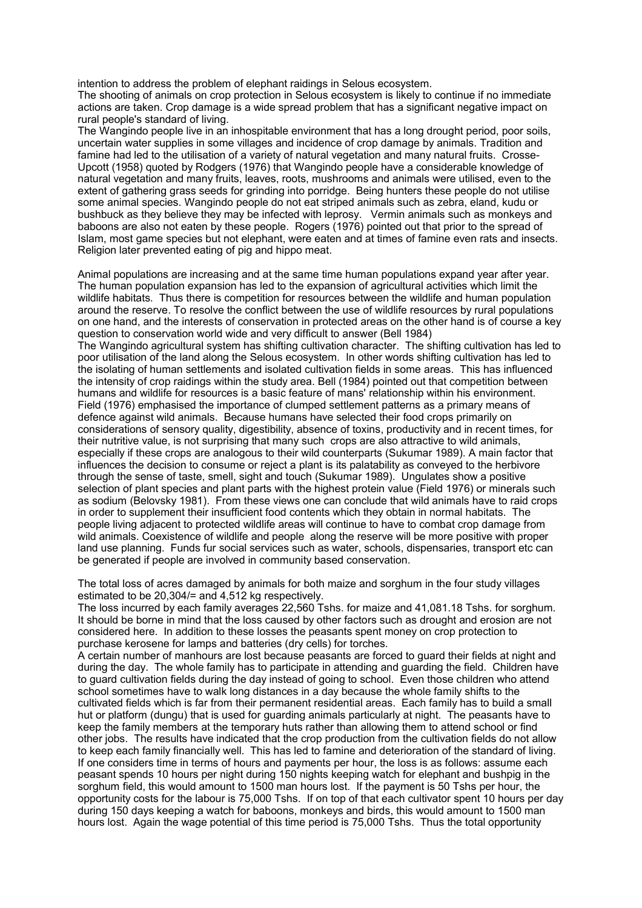intention to address the problem of elephant raidings in Selous ecosystem.

The shooting of animals on crop protection in Selous ecosystem is likely to continue if no immediate actions are taken. Crop damage is a wide spread problem that has a significant negative impact on rural people's standard of living.

The Wangindo people live in an inhospitable environment that has a long drought period, poor soils, uncertain water supplies in some villages and incidence of crop damage by animals. Tradition and famine had led to the utilisation of a variety of natural vegetation and many natural fruits. Crosse-Upcott (1958) quoted by Rodgers (1976) that Wangindo people have a considerable knowledge of natural vegetation and many fruits, leaves, roots, mushrooms and animals were utilised, even to the extent of gathering grass seeds for grinding into porridge. Being hunters these people do not utilise some animal species. Wangindo people do not eat striped animals such as zebra, eland, kudu or bushbuck as they believe they may be infected with leprosy. Vermin animals such as monkeys and baboons are also not eaten by these people. Rogers (1976) pointed out that prior to the spread of Islam, most game species but not elephant, were eaten and at times of famine even rats and insects. Religion later prevented eating of pig and hippo meat.

Animal populations are increasing and at the same time human populations expand year after year. The human population expansion has led to the expansion of agricultural activities which limit the wildlife habitats. Thus there is competition for resources between the wildlife and human population around the reserve. To resolve the conflict between the use of wildlife resources by rural populations on one hand, and the interests of conservation in protected areas on the other hand is of course a key question to conservation world wide and very difficult to answer (Bell 1984)

The Wangindo agricultural system has shifting cultivation character. The shifting cultivation has led to poor utilisation of the land along the Selous ecosystem. In other words shifting cultivation has led to the isolating of human settlements and isolated cultivation fields in some areas. This has influenced the intensity of crop raidings within the study area. Bell (1984) pointed out that competition between humans and wildlife for resources is a basic feature of mans' relationship within his environment. Field (1976) emphasised the importance of clumped settlement patterns as a primary means of defence against wild animals. Because humans have selected their food crops primarily on considerations of sensory quality, digestibility, absence of toxins, productivity and in recent times, for their nutritive value, is not surprising that many such crops are also attractive to wild animals, especially if these crops are analogous to their wild counterparts (Sukumar 1989). A main factor that influences the decision to consume or reject a plant is its palatability as conveyed to the herbivore through the sense of taste, smell, sight and touch (Sukumar 1989). Ungulates show a positive selection of plant species and plant parts with the highest protein value (Field 1976) or minerals such as sodium (Belovsky 1981). From these views one can conclude that wild animals have to raid crops in order to supplement their insufficient food contents which they obtain in normal habitats. The people living adjacent to protected wildlife areas will continue to have to combat crop damage from wild animals. Coexistence of wildlife and people along the reserve will be more positive with proper land use planning. Funds fur social services such as water, schools, dispensaries, transport etc can be generated if people are involved in community based conservation.

The total loss of acres damaged by animals for both maize and sorghum in the four study villages estimated to be 20,304/= and 4,512 kg respectively.

The loss incurred by each family averages 22,560 Tshs. for maize and 41,081.18 Tshs. for sorghum. It should be borne in mind that the loss caused by other factors such as drought and erosion are not considered here. In addition to these losses the peasants spent money on crop protection to purchase kerosene for lamps and batteries (dry cells) for torches.

A certain number of manhours are lost because peasants are forced to guard their fields at night and during the day. The whole family has to participate in attending and guarding the field. Children have to guard cultivation fields during the day instead of going to school. Even those children who attend school sometimes have to walk long distances in a day because the whole family shifts to the cultivated fields which is far from their permanent residential areas. Each family has to build a small hut or platform (dungu) that is used for guarding animals particularly at night. The peasants have to keep the family members at the temporary huts rather than allowing them to attend school or find other jobs. The results have indicated that the crop production from the cultivation fields do not allow to keep each family financially well. This has led to famine and deterioration of the standard of living. If one considers time in terms of hours and payments per hour, the loss is as follows: assume each peasant spends 10 hours per night during 150 nights keeping watch for elephant and bushpig in the sorghum field, this would amount to 1500 man hours lost. If the payment is 50 Tshs per hour, the opportunity costs for the labour is 75,000 Tshs. If on top of that each cultivator spent 10 hours per day during 150 days keeping a watch for baboons, monkeys and birds, this would amount to 1500 man hours lost. Again the wage potential of this time period is 75,000 Tshs. Thus the total opportunity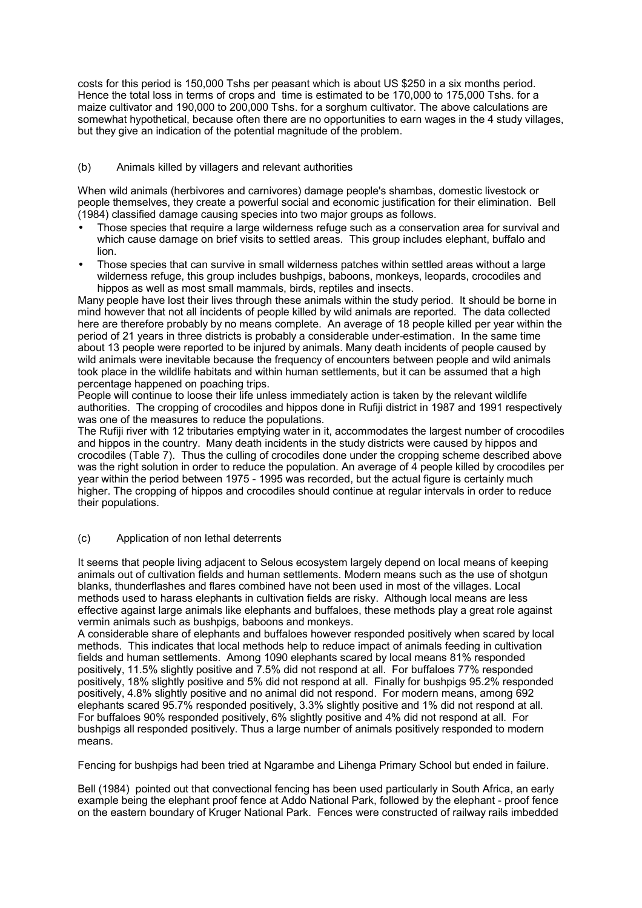costs for this period is 150,000 Tshs per peasant which is about US \$250 in a six months period. Hence the total loss in terms of crops and time is estimated to be 170,000 to 175,000 Tshs. for a maize cultivator and 190,000 to 200,000 Tshs. for a sorghum cultivator. The above calculations are somewhat hypothetical, because often there are no opportunities to earn wages in the 4 study villages, but they give an indication of the potential magnitude of the problem.

# (b) Animals killed by villagers and relevant authorities

When wild animals (herbivores and carnivores) damage people's shambas, domestic livestock or people themselves, they create a powerful social and economic justification for their elimination. Bell (1984) classified damage causing species into two major groups as follows.

- Those species that require a large wilderness refuge such as a conservation area for survival and which cause damage on brief visits to settled areas. This group includes elephant, buffalo and lion.
- Those species that can survive in small wilderness patches within settled areas without a large wilderness refuge, this group includes bushpigs, baboons, monkeys, leopards, crocodiles and hippos as well as most small mammals, birds, reptiles and insects.

Many people have lost their lives through these animals within the study period. It should be borne in mind however that not all incidents of people killed by wild animals are reported. The data collected here are therefore probably by no means complete. An average of 18 people killed per year within the period of 21 years in three districts is probably a considerable under-estimation. In the same time about 13 people were reported to be injured by animals. Many death incidents of people caused by wild animals were inevitable because the frequency of encounters between people and wild animals took place in the wildlife habitats and within human settlements, but it can be assumed that a high percentage happened on poaching trips.

People will continue to loose their life unless immediately action is taken by the relevant wildlife authorities. The cropping of crocodiles and hippos done in Rufiji district in 1987 and 1991 respectively was one of the measures to reduce the populations.

The Rufiji river with 12 tributaries emptying water in it, accommodates the largest number of crocodiles and hippos in the country. Many death incidents in the study districts were caused by hippos and crocodiles (Table 7). Thus the culling of crocodiles done under the cropping scheme described above was the right solution in order to reduce the population. An average of 4 people killed by crocodiles per year within the period between 1975 - 1995 was recorded, but the actual figure is certainly much higher. The cropping of hippos and crocodiles should continue at regular intervals in order to reduce their populations.

#### (c) Application of non lethal deterrents

It seems that people living adjacent to Selous ecosystem largely depend on local means of keeping animals out of cultivation fields and human settlements. Modern means such as the use of shotgun blanks, thunderflashes and flares combined have not been used in most of the villages. Local methods used to harass elephants in cultivation fields are risky. Although local means are less effective against large animals like elephants and buffaloes, these methods play a great role against vermin animals such as bushpigs, baboons and monkeys.

A considerable share of elephants and buffaloes however responded positively when scared by local methods. This indicates that local methods help to reduce impact of animals feeding in cultivation fields and human settlements. Among 1090 elephants scared by local means 81% responded positively, 11.5% slightly positive and 7.5% did not respond at all. For buffaloes 77% responded positively, 18% slightly positive and 5% did not respond at all. Finally for bushpigs 95.2% responded positively, 4.8% slightly positive and no animal did not respond. For modern means, among 692 elephants scared 95.7% responded positively, 3.3% slightly positive and 1% did not respond at all. For buffaloes 90% responded positively, 6% slightly positive and 4% did not respond at all. For bushpigs all responded positively. Thus a large number of animals positively responded to modern means.

Fencing for bushpigs had been tried at Ngarambe and Lihenga Primary School but ended in failure.

Bell (1984) pointed out that convectional fencing has been used particularly in South Africa, an early example being the elephant proof fence at Addo National Park, followed by the elephant - proof fence on the eastern boundary of Kruger National Park. Fences were constructed of railway rails imbedded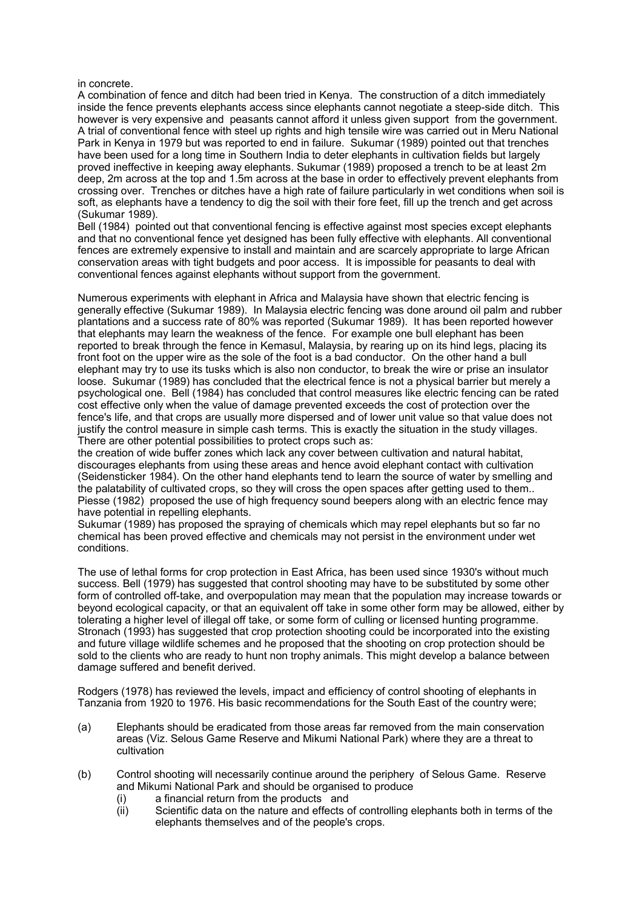#### in concrete.

A combination of fence and ditch had been tried in Kenya. The construction of a ditch immediately inside the fence prevents elephants access since elephants cannot negotiate a steep-side ditch. This however is very expensive and peasants cannot afford it unless given support from the government. A trial of conventional fence with steel up rights and high tensile wire was carried out in Meru National Park in Kenya in 1979 but was reported to end in failure. Sukumar (1989) pointed out that trenches have been used for a long time in Southern India to deter elephants in cultivation fields but largely proved ineffective in keeping away elephants. Sukumar (1989) proposed a trench to be at least 2m deep, 2m across at the top and 1.5m across at the base in order to effectively prevent elephants from crossing over. Trenches or ditches have a high rate of failure particularly in wet conditions when soil is soft, as elephants have a tendency to dig the soil with their fore feet, fill up the trench and get across (Sukumar 1989).

Bell (1984) pointed out that conventional fencing is effective against most species except elephants and that no conventional fence yet designed has been fully effective with elephants. All conventional fences are extremely expensive to install and maintain and are scarcely appropriate to large African conservation areas with tight budgets and poor access. It is impossible for peasants to deal with conventional fences against elephants without support from the government.

Numerous experiments with elephant in Africa and Malaysia have shown that electric fencing is generally effective (Sukumar 1989). In Malaysia electric fencing was done around oil palm and rubber plantations and a success rate of 80% was reported (Sukumar 1989). It has been reported however that elephants may learn the weakness of the fence. For example one bull elephant has been reported to break through the fence in Kemasul, Malaysia, by rearing up on its hind legs, placing its front foot on the upper wire as the sole of the foot is a bad conductor. On the other hand a bull elephant may try to use its tusks which is also non conductor, to break the wire or prise an insulator loose. Sukumar (1989) has concluded that the electrical fence is not a physical barrier but merely a psychological one. Bell (1984) has concluded that control measures like electric fencing can be rated cost effective only when the value of damage prevented exceeds the cost of protection over the fence's life, and that crops are usually more dispersed and of lower unit value so that value does not justify the control measure in simple cash terms. This is exactly the situation in the study villages. There are other potential possibilities to protect crops such as:

the creation of wide buffer zones which lack any cover between cultivation and natural habitat, discourages elephants from using these areas and hence avoid elephant contact with cultivation (Seidensticker 1984). On the other hand elephants tend to learn the source of water by smelling and the palatability of cultivated crops, so they will cross the open spaces after getting used to them.. Piesse (1982) proposed the use of high frequency sound beepers along with an electric fence may have potential in repelling elephants.

Sukumar (1989) has proposed the spraying of chemicals which may repel elephants but so far no chemical has been proved effective and chemicals may not persist in the environment under wet conditions.

The use of lethal forms for crop protection in East Africa, has been used since 1930's without much success. Bell (1979) has suggested that control shooting may have to be substituted by some other form of controlled off-take, and overpopulation may mean that the population may increase towards or beyond ecological capacity, or that an equivalent off take in some other form may be allowed, either by tolerating a higher level of illegal off take, or some form of culling or licensed hunting programme. Stronach (1993) has suggested that crop protection shooting could be incorporated into the existing and future village wildlife schemes and he proposed that the shooting on crop protection should be sold to the clients who are ready to hunt non trophy animals. This might develop a balance between damage suffered and benefit derived.

Rodgers (1978) has reviewed the levels, impact and efficiency of control shooting of elephants in Tanzania from 1920 to 1976. His basic recommendations for the South East of the country were;

- (a) Elephants should be eradicated from those areas far removed from the main conservation areas (Viz. Selous Game Reserve and Mikumi National Park) where they are a threat to cultivation
- (b) Control shooting will necessarily continue around the periphery of Selous Game. Reserve and Mikumi National Park and should be organised to produce
	- (i) a financial return from the products and
	- (ii) Scientific data on the nature and effects of controlling elephants both in terms of the elephants themselves and of the people's crops.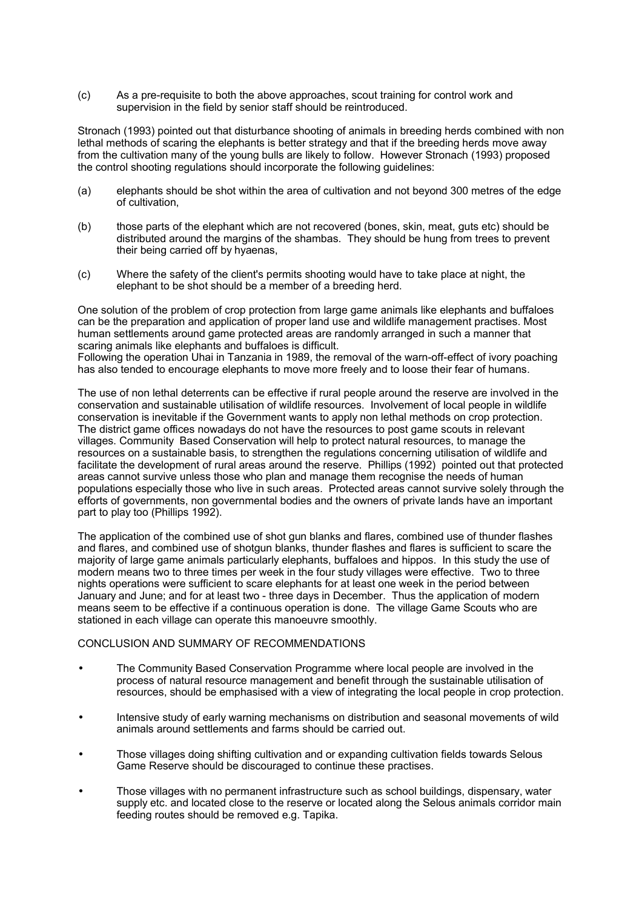(c) As a pre-requisite to both the above approaches, scout training for control work and supervision in the field by senior staff should be reintroduced.

Stronach (1993) pointed out that disturbance shooting of animals in breeding herds combined with non lethal methods of scaring the elephants is better strategy and that if the breeding herds move away from the cultivation many of the young bulls are likely to follow. However Stronach (1993) proposed the control shooting regulations should incorporate the following guidelines:

- (a) elephants should be shot within the area of cultivation and not beyond 300 metres of the edge of cultivation,
- (b) those parts of the elephant which are not recovered (bones, skin, meat, guts etc) should be distributed around the margins of the shambas. They should be hung from trees to prevent their being carried off by hyaenas,
- (c) Where the safety of the client's permits shooting would have to take place at night, the elephant to be shot should be a member of a breeding herd.

One solution of the problem of crop protection from large game animals like elephants and buffaloes can be the preparation and application of proper land use and wildlife management practises. Most human settlements around game protected areas are randomly arranged in such a manner that scaring animals like elephants and buffaloes is difficult.

Following the operation Uhai in Tanzania in 1989, the removal of the warn-off-effect of ivory poaching has also tended to encourage elephants to move more freely and to loose their fear of humans.

The use of non lethal deterrents can be effective if rural people around the reserve are involved in the conservation and sustainable utilisation of wildlife resources. Involvement of local people in wildlife conservation is inevitable if the Government wants to apply non lethal methods on crop protection. The district game offices nowadays do not have the resources to post game scouts in relevant villages. Community Based Conservation will help to protect natural resources, to manage the resources on a sustainable basis, to strengthen the regulations concerning utilisation of wildlife and facilitate the development of rural areas around the reserve. Phillips (1992) pointed out that protected areas cannot survive unless those who plan and manage them recognise the needs of human populations especially those who live in such areas. Protected areas cannot survive solely through the efforts of governments, non governmental bodies and the owners of private lands have an important part to play too (Phillips 1992).

The application of the combined use of shot gun blanks and flares, combined use of thunder flashes and flares, and combined use of shotgun blanks, thunder flashes and flares is sufficient to scare the majority of large game animals particularly elephants, buffaloes and hippos. In this study the use of modern means two to three times per week in the four study villages were effective. Two to three nights operations were sufficient to scare elephants for at least one week in the period between January and June; and for at least two - three days in December. Thus the application of modern means seem to be effective if a continuous operation is done. The village Game Scouts who are stationed in each village can operate this manoeuvre smoothly.

#### CONCLUSION AND SUMMARY OF RECOMMENDATIONS

- The Community Based Conservation Programme where local people are involved in the process of natural resource management and benefit through the sustainable utilisation of resources, should be emphasised with a view of integrating the local people in crop protection.
- Intensive study of early warning mechanisms on distribution and seasonal movements of wild animals around settlements and farms should be carried out.
- Those villages doing shifting cultivation and or expanding cultivation fields towards Selous Game Reserve should be discouraged to continue these practises.
- Those villages with no permanent infrastructure such as school buildings, dispensary, water supply etc. and located close to the reserve or located along the Selous animals corridor main feeding routes should be removed e.g. Tapika.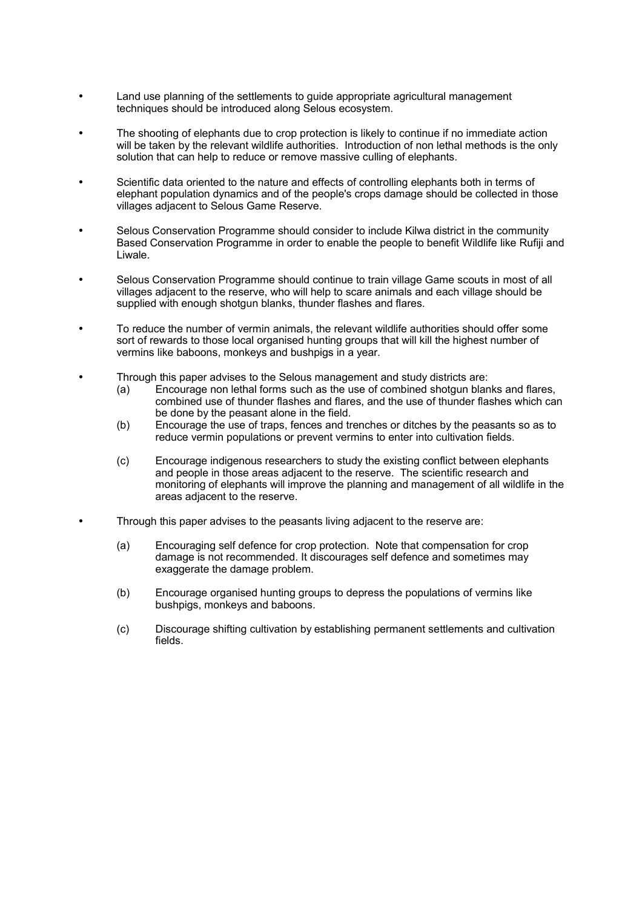- Land use planning of the settlements to guide appropriate agricultural management techniques should be introduced along Selous ecosystem.
- The shooting of elephants due to crop protection is likely to continue if no immediate action will be taken by the relevant wildlife authorities. Introduction of non lethal methods is the only solution that can help to reduce or remove massive culling of elephants.
- Scientific data oriented to the nature and effects of controlling elephants both in terms of elephant population dynamics and of the people's crops damage should be collected in those villages adjacent to Selous Game Reserve.
- Selous Conservation Programme should consider to include Kilwa district in the community Based Conservation Programme in order to enable the people to benefit Wildlife like Rufiji and Liwale.
- Selous Conservation Programme should continue to train village Game scouts in most of all villages adjacent to the reserve, who will help to scare animals and each village should be supplied with enough shotgun blanks, thunder flashes and flares.
- To reduce the number of vermin animals, the relevant wildlife authorities should offer some sort of rewards to those local organised hunting groups that will kill the highest number of vermins like baboons, monkeys and bushpigs in a year.
- Through this paper advises to the Selous management and study districts are:
	- (a) Encourage non lethal forms such as the use of combined shotgun blanks and flares, combined use of thunder flashes and flares, and the use of thunder flashes which can be done by the peasant alone in the field.
	- (b) Encourage the use of traps, fences and trenches or ditches by the peasants so as to reduce vermin populations or prevent vermins to enter into cultivation fields.
	- (c) Encourage indigenous researchers to study the existing conflict between elephants and people in those areas adjacent to the reserve. The scientific research and monitoring of elephants will improve the planning and management of all wildlife in the areas adjacent to the reserve.
- Through this paper advises to the peasants living adjacent to the reserve are:
	- (a) Encouraging self defence for crop protection. Note that compensation for crop damage is not recommended. It discourages self defence and sometimes may exaggerate the damage problem.
	- (b) Encourage organised hunting groups to depress the populations of vermins like bushpigs, monkeys and baboons.
	- (c) Discourage shifting cultivation by establishing permanent settlements and cultivation fields.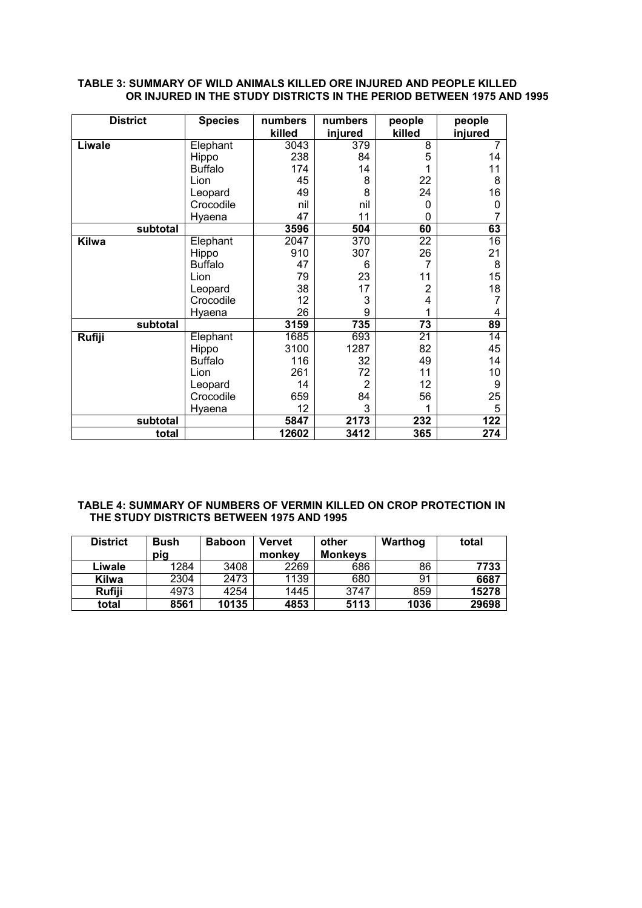# **TABLE 3: SUMMARY OF WILD ANIMALS KILLED ORE INJURED AND PEOPLE KILLED OR INJURED IN THE STUDY DISTRICTS IN THE PERIOD BETWEEN 1975 AND 1995**

| <b>District</b> | <b>Species</b> | numbers | numbers | people   | people  |
|-----------------|----------------|---------|---------|----------|---------|
|                 |                | killed  | injured | killed   | injured |
| Liwale          | Elephant       | 3043    | 379     | 8        | 7       |
|                 | Hippo          | 238     | 84      | 5        | 14      |
|                 | <b>Buffalo</b> | 174     | 14      |          | 11      |
|                 | Lion           | 45      | 8       | 22       | 8       |
|                 | Leopard        | 49      | 8       | 24       | 16      |
|                 | Crocodile      | nil     | nil     | $\Omega$ | 0       |
|                 | Hyaena         | 47      | 11      | $\Omega$ | 7       |
| subtotal        |                | 3596    | 504     | 60       | 63      |
| <b>Kilwa</b>    | Elephant       | 2047    | 370     | 22       | 16      |
|                 | Hippo          | 910     | 307     | 26       | 21      |
|                 | <b>Buffalo</b> | 47      | 6       | 7        | 8       |
|                 | Lion           | 79      | 23      | 11       | 15      |
|                 | Leopard        | 38      | 17      | 2        | 18      |
|                 | Crocodile      | 12      | 3       | 4        | 7       |
|                 | Hyaena         | 26      | 9       |          | 4       |
| subtotal        |                | 3159    | 735     | 73       | 89      |
| Rufiji          | Elephant       | 1685    | 693     | 21       | 14      |
|                 | Hippo          | 3100    | 1287    | 82       | 45      |
|                 | <b>Buffalo</b> | 116     | 32      | 49       | 14      |
|                 | Lion           | 261     | 72      | 11       | 10      |
|                 | Leopard        | 14      | 2       | 12       | 9       |
|                 | Crocodile      | 659     | 84      | 56       | 25      |
|                 | Hyaena         | 12      | 3       |          | 5       |
| subtotal        |                | 5847    | 2173    | 232      | 122     |
| total           |                | 12602   | 3412    | 365      | 274     |

## **TABLE 4: SUMMARY OF NUMBERS OF VERMIN KILLED ON CROP PROTECTION IN THE STUDY DISTRICTS BETWEEN 1975 AND 1995**

| <b>District</b> | <b>Bush</b><br>pig | <b>Baboon</b> | <b>Vervet</b><br>monkey | other<br><b>Monkeys</b> | Warthog | total |
|-----------------|--------------------|---------------|-------------------------|-------------------------|---------|-------|
| Liwale          | 1284               | 3408          | 2269                    | 686                     | 86      | 7733  |
| <b>Kilwa</b>    | 2304               | 2473          | 1139                    | 680                     | 91      | 6687  |
| Rufiji          | 4973               | 4254          | 1445                    | 3747                    | 859     | 15278 |
| total           | 8561               | 10135         | 4853                    | 5113                    | 1036    | 29698 |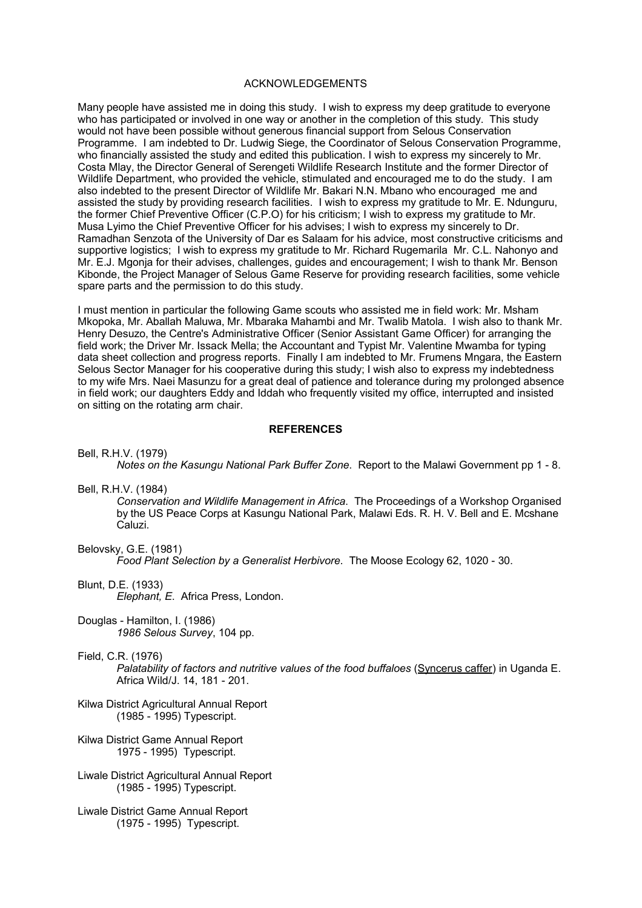#### ACKNOWLEDGEMENTS

Many people have assisted me in doing this study. I wish to express my deep gratitude to everyone who has participated or involved in one way or another in the completion of this study. This study would not have been possible without generous financial support from Selous Conservation Programme. I am indebted to Dr. Ludwig Siege, the Coordinator of Selous Conservation Programme, who financially assisted the study and edited this publication. I wish to express my sincerely to Mr. Costa Mlay, the Director General of Serengeti Wildlife Research Institute and the former Director of Wildlife Department, who provided the vehicle, stimulated and encouraged me to do the study. I am also indebted to the present Director of Wildlife Mr. Bakari N.N. Mbano who encouraged me and assisted the study by providing research facilities. I wish to express my gratitude to Mr. E. Ndunguru, the former Chief Preventive Officer (C.P.O) for his criticism; I wish to express my gratitude to Mr. Musa Lyimo the Chief Preventive Officer for his advises; I wish to express my sincerely to Dr. Ramadhan Senzota of the University of Dar es Salaam for his advice, most constructive criticisms and supportive logistics; I wish to express my gratitude to Mr. Richard Rugemarila Mr. C.L. Nahonyo and Mr. E.J. Mgonja for their advises, challenges, guides and encouragement; I wish to thank Mr. Benson Kibonde, the Project Manager of Selous Game Reserve for providing research facilities, some vehicle spare parts and the permission to do this study.

I must mention in particular the following Game scouts who assisted me in field work: Mr. Msham Mkopoka, Mr. Aballah Maluwa, Mr. Mbaraka Mahambi and Mr. Twalib Matola. I wish also to thank Mr. Henry Desuzo, the Centre's Administrative Officer (Senior Assistant Game Officer) for arranging the field work; the Driver Mr. Issack Mella; the Accountant and Typist Mr. Valentine Mwamba for typing data sheet collection and progress reports. Finally I am indebted to Mr. Frumens Mngara, the Eastern Selous Sector Manager for his cooperative during this study; I wish also to express my indebtedness to my wife Mrs. Naei Masunzu for a great deal of patience and tolerance during my prolonged absence in field work; our daughters Eddy and Iddah who frequently visited my office, interrupted and insisted on sitting on the rotating arm chair.

#### **REFERENCES**

Bell, R.H.V. (1979)

*Notes on the Kasungu National Park Buffer Zone*. Report to the Malawi Government pp 1 - 8.

Bell, R.H.V. (1984)

*Conservation and Wildlife Management in Africa*. The Proceedings of a Workshop Organised by the US Peace Corps at Kasungu National Park, Malawi Eds. R. H. V. Bell and E. Mcshane Caluzi.

Belovsky, G.E. (1981)

*Food Plant Selection by a Generalist Herbivore*. The Moose Ecology 62, 1020 - 30.

Blunt, D.E. (1933)

*Elephant, E*. Africa Press, London.

Douglas - Hamilton, I. (1986) *1986 Selous Survey*, 104 pp.

Field, C.R. (1976)

*Palatability of factors and nutritive values of the food buffaloes* (Syncerus caffer) in Uganda E. Africa Wild/J. 14, 181 - 201.

- Kilwa District Agricultural Annual Report (1985 - 1995) Typescript.
- Kilwa District Game Annual Report 1975 - 1995) Typescript.
- Liwale District Agricultural Annual Report (1985 - 1995) Typescript.
- Liwale District Game Annual Report (1975 - 1995) Typescript.